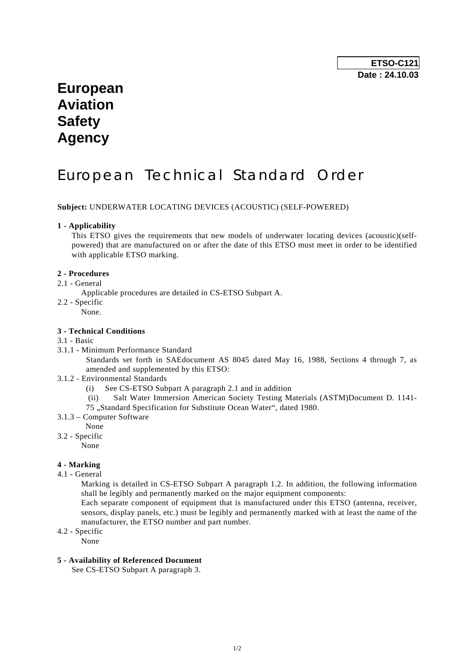**ETSO-C121 Date : 24.10.03** 

# **European Aviation Safety Agency**

# European Technical Standard Order

**Subject:** UNDERWATER LOCATING DEVICES (ACOUSTIC) (SELF-POWERED)

#### **1 - Applicability**

 This ETSO gives the requirements that new models of underwater locating devices (acoustic)(selfpowered) that are manufactured on or after the date of this ETSO must meet in order to be identified with applicable ETSO marking.

### **2 - Procedures**

### 2.1 - General

- Applicable procedures are detailed in CS-ETSO Subpart A.
- 2.2 Specific
	- .<br>None.

#### **3 - Technical Conditions**

- 3.1 Basic
- 3.1.1 Minimum Performance Standard
	- Standards set forth in SAEdocument AS 8045 dated May 16, 1988, Sections 4 through 7, as amended and supplemented by this ETSO:
- 3.1.2 Environmental Standards
	- (i) See CS-ETSO Subpart A paragraph 2.1 and in addition
	- (ii) Salt Water Immersion American Society Testing Materials (ASTM)Document D. 1141-
	- 75 "Standard Specification for Substitute Ocean Water", dated 1980.
- 3.1.3 Computer Software
	- None
- 3.2 Specific
	- None

## **4 - Marking**

4.1 - General

 Marking is detailed in CS-ETSO Subpart A paragraph 1.2. In addition, the following information shall be legibly and permanently marked on the major equipment components:

 Each separate component of equipment that is manufactured under this ETSO (antenna, receiver, sensors, display panels, etc.) must be legibly and permanently marked with at least the name of the manufacturer, the ETSO number and part number.

4.2 - Specific

None

#### **5 - Availability of Referenced Document**

See CS-ETSO Subpart A paragraph 3.